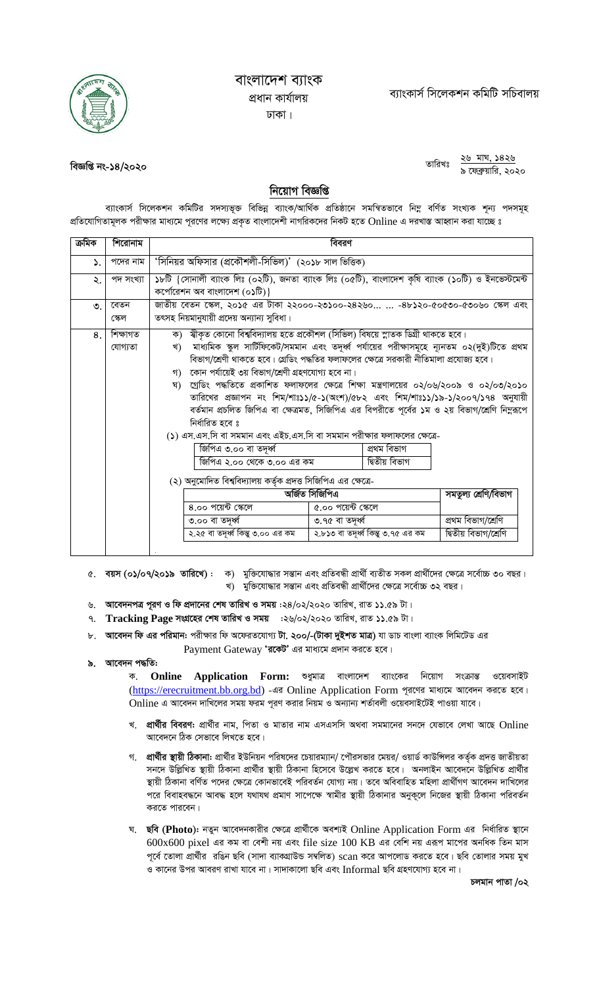

## বাংলাদেশ ব্যাংক প্ৰধান কাৰ্যালয় ঢাকা।

বিজ্ঞপ্তি নং-১৪/২০২০

## ২৬ মাঘ, ১৪২৬ তারিখঃ ৯ ফেব্রুয়ারি, ২০২০

## নিয়োগ বিজ্ঞপ্তি

ব্যাংকার্স সিলেকশন কমিটির সদস্যভূক্ত বিভিন্ন ব্যাংক/আর্থিক প্রতিষ্ঠানে সমন্বিতভাবে নিম্ন বর্ণিত সংখ্যক শূন্য পদসমূহ প্রতিযোগিতামূলক পরীক্ষার মাধ্যমে পূরণের লক্ষ্যে প্রকৃত বাংলাদেশী নাগরিকদের নিকট হতে Online এ দরখাস্ত আহ্বান করা যাচ্ছে ঃ

| ক্ৰমিক    | শিরোনাম             | বিবরণ                                                                                                                               |                                                                                                                                                                                                                                                                                                                                                                                                                                                                                                                                                                                                                                                                                                                                                                                                                                           |  |  |
|-----------|---------------------|-------------------------------------------------------------------------------------------------------------------------------------|-------------------------------------------------------------------------------------------------------------------------------------------------------------------------------------------------------------------------------------------------------------------------------------------------------------------------------------------------------------------------------------------------------------------------------------------------------------------------------------------------------------------------------------------------------------------------------------------------------------------------------------------------------------------------------------------------------------------------------------------------------------------------------------------------------------------------------------------|--|--|
| ۵.        | পদের নাম            | 'সিনিয়র অফিসার (প্রকৌশলী-সিভিল)' (২০১৮ সাল ভিত্তিক)                                                                                |                                                                                                                                                                                                                                                                                                                                                                                                                                                                                                                                                                                                                                                                                                                                                                                                                                           |  |  |
| ২.        | পদ সংখ্যা           | ১৮টি {সোনালী ব্যাংক লিঃ (০২টি), জনতা ব্যাংক লিঃ (০৫টি), বাংলাদেশ কৃষি ব্যাংক (১০টি) ও ইনভেস্টমেন্ট<br>কর্পোরেশন অব বাংলাদেশ (০১টি)} |                                                                                                                                                                                                                                                                                                                                                                                                                                                                                                                                                                                                                                                                                                                                                                                                                                           |  |  |
| $\circ$ . | বেতন<br>স্কেল       | জাতীয় বেতন স্কেল, ২০১৫ এর টাকা ২২০০০-২৩১০০-২৪২৬০  -৪৮১২০-৫০৫৩০-৫৩০৬০ স্কেল এবং<br>তৎসহ নিয়মানুযায়ী প্রদেয় অন্যান্য সুবিধা।      |                                                                                                                                                                                                                                                                                                                                                                                                                                                                                                                                                                                                                                                                                                                                                                                                                                           |  |  |
| 8.        | শিক্ষাগত<br>যোগ্যতা | খ)<br>নিৰ্ধারিত হবে ঃ<br>জিপিএ ৩.০০ বা তদূৰ্ধ্ব                                                                                     | ক)   স্বীকৃত কোনো বিশ্ববিদ্যালয় হতে প্রকৌশল (সিভিল) বিষয়ে স্নাতক ডিগ্রী থাকতে হবে।<br>মাধ্যমিক স্কুল সার্টিফিকেট/সমমান এবং তদূর্ধ্ব পর্যায়ের পরীক্ষাসমূহে ন্যূনতম ০২(দুই)টিতে প্রথম<br>বিভাগ/শ্রেণী থাকতে হবে। গ্রেডিং পদ্ধতির ফলাফলের ক্ষেত্রে সরকারী নীতিমালা প্রযোজ্য হবে।<br>গ) কোন পর্যায়েই ৩য় বিভাগ/শ্রেণী গ্রহণযোগ্য হবে না।<br>ঘ) গ্রেডিং পদ্ধতিতে প্রকাশিত ফলাফলের ক্ষেত্রে শিক্ষা মন্ত্রণালয়ের ০২/০৬/২০০৯ ও ০২/০৩/২০১০<br>তারিখের প্রজ্ঞাপন নং শিম/শাঃ১১/৫-১(অংশ)/৫৮২ এবং শিম/শাঃ১১/১৯-১/২০০৭/১৭৪ অনুযায়ী<br>বর্তমান প্রচলিত জিপিএ বা ক্ষেত্রমত, সিজিপিএ এর বিপরীতে পূর্বের ১ম ও ২য় বিভাগ/শ্রেণি নিম্নরূপে<br>(১) এস.এস.সি বা সমমান এবং এইচ.এস.সি বা সমমান পরীক্ষার ফলাফলের ক্ষেত্রে-<br>প্ৰথম বিভাগ<br>দ্বিতীয় বিভাগ<br>জিপিএ ২.০০ থেকে ৩.০০ এর কম<br>(২) অনুমোদিত বিশ্ববিদ্যালয় কর্তৃক প্রদত্ত সিজিপিএ এর ক্ষেত্রে- |  |  |
|           |                     |                                                                                                                                     | অৰ্জিত সিজিপিএ<br>সমতুল্য শ্ৰেণি/বিভাগ<br>8.00 পয়েন্ট স্কেলে<br>৫.০০ পয়েন্ট স্কেলে<br>প্ৰথম বিভাগ/শ্ৰেণি                                                                                                                                                                                                                                                                                                                                                                                                                                                                                                                                                                                                                                                                                                                                |  |  |
|           |                     |                                                                                                                                     |                                                                                                                                                                                                                                                                                                                                                                                                                                                                                                                                                                                                                                                                                                                                                                                                                                           |  |  |
|           |                     | ৩.০০ বা তদূৰ্ধ্ব                                                                                                                    | ৩.৭৫ বা তদূৰ্ধ্ব                                                                                                                                                                                                                                                                                                                                                                                                                                                                                                                                                                                                                                                                                                                                                                                                                          |  |  |
|           |                     | দ্বিতীয় বিভাগ/শ্ৰেণি<br>২.২৫ বা তদূৰ্ধ্ব কিন্তু ৩.০০ এর কম<br>২.৮১৩ বা তদূৰ্ধ্ব কিন্তু ৩.৭৫ এর কম                                  |                                                                                                                                                                                                                                                                                                                                                                                                                                                                                                                                                                                                                                                                                                                                                                                                                                           |  |  |
|           |                     |                                                                                                                                     |                                                                                                                                                                                                                                                                                                                                                                                                                                                                                                                                                                                                                                                                                                                                                                                                                                           |  |  |

- ৫. বয়স (০১/০৭/২০১৯ তারিখে): ক) মুক্তিযোদ্ধার সন্তান এবং প্রতিবন্ধী প্রার্থী ব্যতীত সকল প্রার্থীদের ক্ষেত্রে সর্বোচ্চ ৩০ বছর। খ) মুক্তিযোদ্ধার সন্তান এবং প্রতিবন্ধী প্রার্থীদের ক্ষেত্রে সর্বোচ্চ ৩২ বছর।
- ৬. আবেদনপত্র পূরণ ও ফি প্রদানের শেষ তারিখ ও সময় :২৪/০২/২০২০ তারিখ, রাত ১১.৫৯ টা।
- ৭. Tracking Page সংগ্রহের শেষ তারিখ ও সময় :২৬/০২/২০২০ তারিখ, রাত ১১.৫৯ টা।
- ৮. আবেদন ফি এর পরিমান: পরীক্ষার ফি অফেরতযোগ্য টা. ২০০/-(টাকা দুইশত মাত্র) যা ডাচ বাংলা ব্যাংক লিমিটেড এর Payment Gateway 'রকেট' এর মাধ্যমে প্রদান করতে হবে।
- ৯. আবেদন পদ্ধতি:

ক. Online Application Form: শুধুমাত্র বাংলাদেশ ব্যাংকের নিয়োগ সংক্রান্ত ওয়েবসাইট (https://erecruitment.bb.org.bd) - এর Online Application Form পুরণের মাধ্যমে আবেদন করতে হবে। Online এ আবেদন দাখিলের সময় ফরম পূরণ করার নিয়ম ও অন্যান্য শর্তাবলী ওয়েবসাইটেই পাওয়া যাবে।

- খ. প্রার্থীর বিবরণ: প্রার্থীর নাম, পিতা ও মাতার নাম এসএসসি অথবা সমমানের সনদে যেভাবে লেখা আছে Online আবেদনে ঠিক সেভাবে লিখতে হবে।
- গ. প্রার্থীর স্থায়ী ঠিকানা: প্রার্থীর ইউনিয়ন পরিষদের চেয়ারম্যান/ পৌরসভার মেয়র/ ওয়ার্ড কাউন্সিলর কর্তৃক প্রদত্ত জাতীয়তা সনদে উল্লিখিত স্থায়ী ঠিকানা প্রার্থীর স্থায়ী ঠিকানা হিসেবে উল্লেখ করতে হবে। অনলাইন আবেদনে উল্লিখিত প্রার্থীর স্থায়ী ঠিকানা বর্ণিত পদের ক্ষেত্রে কোনভাবেই পরিবর্তন যোগ্য নয়। তবে অবিবাহিত মহিলা প্রার্থীগণ আবেদন দাখিলের পরে বিবাহবদ্ধনে আবদ্ধ হলে যথাযথ প্রমাণ সাপেক্ষে স্বামীর স্থায়ী ঠিকানার অনুকলে নিজের স্থায়ী ঠিকানা পরিবর্তন করতে পারবেন।
- ঘ. ছবি (Photo): নতুন আবেদনকারীর ক্ষেত্রে প্রার্থীকে অবশ্যই Online Application Form এর নির্ধারিত স্থানে  $600x600$  pixel এর কম বা বেশী নয় এবং file size  $100$  KB এর বেশি নয় এরূপ মাপের অনধিক তিন মাস পূর্বে তোলা প্রার্থীর রঙিন ছবি (সাদা ব্যাকগ্রাউন্ড সম্বলিত) scan করে আপলোড করতে হবে। ছবি তোলার সময় মুখ ও কানের উপর আবরণ রাখা যাবে না। সাদাকালো ছবি এবং Informal ছবি গ্রহণযোগ্য হবে না।

চলমান পাতা /০২